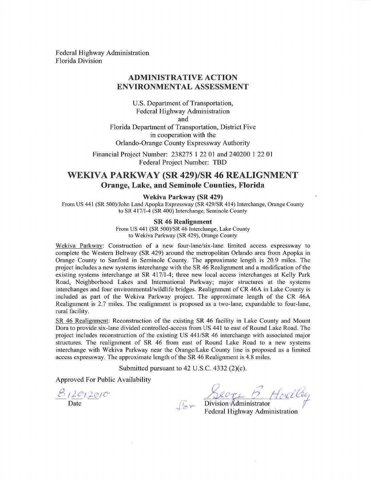**Federal Highway Administration Florida Division** 

#### **ADMINISTRATIVE ACTION** ENVIRONMENTAL ASSESSMENT

U.S. Department of Transportation, Federal Highway Administration and Florida Department of Transportation, District Five in cooperation with the Orlando-Orange County Expressway Authority

Financial Project Number: 238275 1 22 01 and 240200 1 22 01 Federal Project Number: TBD

# WEKIVA PARKWAY (SR 429)/SR 46 REALIGNMENT **Orange, Lake, and Seminole Counties, Florida**

#### Wekiva Parkway (SR 429)

From US 441 (SR 500)/John Land Apopka Expressway (SR 429/SR 414) Interchange, Orange County to SR 417/I-4 (SR 400) Interchange, Seminole County

#### **SR 46 Realignment**

From US 441 (SR 500)/SR 46 Interchange, Lake County to Wekiva Parkway (SR 429), Orange County

Wekiva Parkway: Construction of a new four-lane/six-lane limited access expressway to complete the Western Beltway (SR 429) around the metropolitan Orlando area from Apopka in Orange County to Sanford in Seminole County. The approximate length is 20.9 miles. The project includes a new systems interchange with the SR 46 Realignment and a modification of the existing systems interchange at SR 417/1-4; three new local access interchanges at Kelly Park Road, Neighborhood Lakes and International Parkway; major structures at the systems interchanges and four environmental/wildlife bridges. Realignment of CR 46A in Lake County is included as part of the Wekiva Parkway project. The approximate length of the CR 46A Realignment is 2.7 miles. The realignment is proposed as a two-lane, expandable to four-lane, rural facility.

SR 46 Realignment: Reconstruction of the existing SR 46 facility in Lake County and Mount Dora to provide six-lane divided controlled-access from US 441 to east of Round Lake Road. The project includes reconstruction of the existing US 441/SR 46 interchange with associated major structures. The realignment of SR 46 from east of Round Lake Road to a new systems interchange with Wekiva Parkway near the Orange/Lake County line is proposed as a limited access expressway. The approximate length of the SR 46 Realignment is 4.8 miles.

Submitted pursuant to 42 U.S.C.  $4332 (2)(c)$ .

Approved For Public Availability

 $812012010$ 

Ler Division Administrator

Federal Highway Administration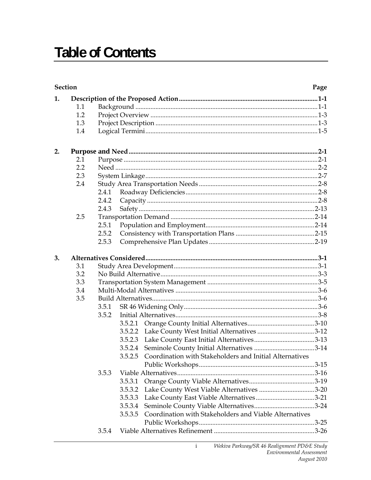# **Table of Contents**

| 1.<br>1.1<br>1.2<br>1.3<br>1.4<br>2.<br>2.1                       |
|-------------------------------------------------------------------|
|                                                                   |
|                                                                   |
|                                                                   |
|                                                                   |
|                                                                   |
|                                                                   |
|                                                                   |
|                                                                   |
| 2.2                                                               |
| 2.3                                                               |
| 2.4                                                               |
| 2.4.1                                                             |
| 2.4.2                                                             |
| 2.4.3                                                             |
| 2.5                                                               |
| 2.5.1                                                             |
| 2.5.2                                                             |
| 2.5.3                                                             |
| 3.                                                                |
| 3.1                                                               |
| 3.2                                                               |
| 3.3                                                               |
| 3.4                                                               |
| 3.5                                                               |
| 3.5.1                                                             |
| 3.5.2                                                             |
|                                                                   |
| 3.5.2.2 Lake County West Initial Alternatives 3-12                |
|                                                                   |
|                                                                   |
| 3.5.2.5 Coordination with Stakeholders and Initial Alternatives   |
|                                                                   |
| 3.5.3                                                             |
| 3.5.3.1                                                           |
| Lake County West Viable Alternatives 3-20<br>3.5.3.2              |
| 3.5.3.3                                                           |
| 3.5.3.4                                                           |
| Coordination with Stakeholders and Viable Alternatives<br>3.5.3.5 |
|                                                                   |
| 3.5.4                                                             |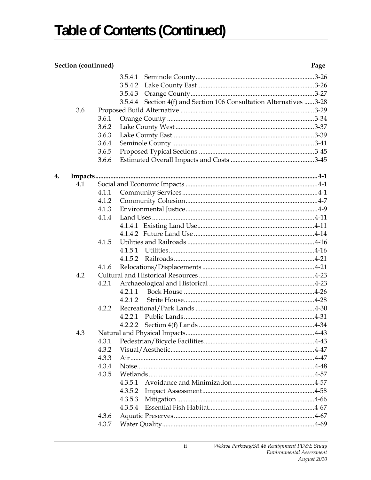## Section (continued)

|    | 3.6 | 3.6.1<br>3.6.2<br>3.6.3<br>3.6.4<br>3.6.5<br>3.6.6 | 3.5.4.2<br>3.5.4.3<br>3.5.4.4 Section 4(f) and Section 106 Consultation Alternatives 3-28 |
|----|-----|----------------------------------------------------|-------------------------------------------------------------------------------------------|
| 4. |     |                                                    |                                                                                           |
|    | 4.1 |                                                    |                                                                                           |
|    |     | 4.1.1                                              |                                                                                           |
|    |     | 4.1.2                                              |                                                                                           |
|    |     | 4.1.3                                              |                                                                                           |
|    |     | 4.1.4                                              |                                                                                           |
|    |     |                                                    |                                                                                           |
|    |     |                                                    |                                                                                           |
|    |     | 4.1.5                                              |                                                                                           |
|    |     |                                                    |                                                                                           |
|    |     | 4.1.6                                              |                                                                                           |
|    | 4.2 |                                                    |                                                                                           |
|    |     | 4.2.1                                              |                                                                                           |
|    |     |                                                    | 4.2.1.1                                                                                   |
|    |     |                                                    | 4.2.1.2                                                                                   |
|    |     | 4.2.2                                              |                                                                                           |
|    |     |                                                    |                                                                                           |
|    |     |                                                    | 4.2.2.2                                                                                   |
|    | 4.3 |                                                    |                                                                                           |
|    |     |                                                    |                                                                                           |
|    |     | 4.3.2                                              |                                                                                           |
|    |     | 4.3.3                                              |                                                                                           |
|    |     | 4.3.4                                              |                                                                                           |
|    |     | 4.3.5                                              |                                                                                           |
|    |     |                                                    | 4.3.5.1                                                                                   |
|    |     |                                                    | 4.3.5.2                                                                                   |
|    |     |                                                    | 4.3.5.3                                                                                   |
|    |     |                                                    | 4.3.5.4                                                                                   |
|    |     | 4.3.6                                              |                                                                                           |
|    |     | 4.3.7                                              |                                                                                           |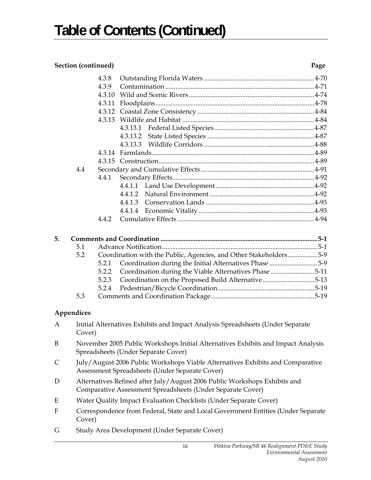## **Section (continued) Page**

|              |            | 4.3.8                                                                                                                                   |                                                                                  |  |
|--------------|------------|-----------------------------------------------------------------------------------------------------------------------------------------|----------------------------------------------------------------------------------|--|
|              |            | 4.3.9                                                                                                                                   |                                                                                  |  |
|              |            | 4.3.10                                                                                                                                  |                                                                                  |  |
|              |            | 4.3.11                                                                                                                                  |                                                                                  |  |
|              |            |                                                                                                                                         |                                                                                  |  |
|              |            |                                                                                                                                         |                                                                                  |  |
|              |            |                                                                                                                                         |                                                                                  |  |
|              |            |                                                                                                                                         |                                                                                  |  |
|              |            |                                                                                                                                         |                                                                                  |  |
|              |            |                                                                                                                                         |                                                                                  |  |
|              |            |                                                                                                                                         |                                                                                  |  |
|              | 4.4        |                                                                                                                                         |                                                                                  |  |
| 4.4.1        |            |                                                                                                                                         |                                                                                  |  |
|              |            |                                                                                                                                         |                                                                                  |  |
|              |            |                                                                                                                                         |                                                                                  |  |
|              |            |                                                                                                                                         |                                                                                  |  |
|              |            |                                                                                                                                         |                                                                                  |  |
|              |            | 4.4.2                                                                                                                                   |                                                                                  |  |
|              |            |                                                                                                                                         |                                                                                  |  |
| 5.           |            |                                                                                                                                         |                                                                                  |  |
|              | 5.1        |                                                                                                                                         |                                                                                  |  |
|              | 5.2        |                                                                                                                                         | Coordination with the Public, Agencies, and Other Stakeholders5-9                |  |
|              |            | 5.2.1                                                                                                                                   | Coordination during the Initial Alternatives Phase 5-9                           |  |
|              |            | 5.2.2                                                                                                                                   | Coordination during the Viable Alternatives Phase 5-11                           |  |
|              |            | 5.2.3                                                                                                                                   | Coordination on the Proposed Build Alternative5-13                               |  |
|              |            | 5.2.4                                                                                                                                   |                                                                                  |  |
|              | 5.3        |                                                                                                                                         |                                                                                  |  |
|              |            |                                                                                                                                         |                                                                                  |  |
|              | Appendices |                                                                                                                                         |                                                                                  |  |
| $\mathbf{A}$ | Cover)     |                                                                                                                                         | Initial Alternatives Exhibits and Impact Analysis Spreadsheets (Under Separate   |  |
|              |            |                                                                                                                                         |                                                                                  |  |
| B            |            |                                                                                                                                         | November 2005 Public Workshops Initial Alternatives Exhibits and Impact Analysis |  |
|              |            |                                                                                                                                         | Spreadsheets (Under Separate Cover)                                              |  |
| C            |            | July/August 2006 Public Workshops Viable Alternatives Exhibits and Comparative<br>Assessment Spreadsheets (Under Separate Cover)        |                                                                                  |  |
| D            |            |                                                                                                                                         |                                                                                  |  |
|              |            | Alternatives Refined after July/August 2006 Public Workshops Exhibits and<br>Comparative Assessment Spreadsheets (Under Separate Cover) |                                                                                  |  |
| E            |            |                                                                                                                                         | Water Quality Impact Evaluation Checklists (Under Separate Cover)                |  |
| F            |            | Correspondence from Federal, State and Local Government Entities (Under Separate<br>Cover)                                              |                                                                                  |  |
| G            |            |                                                                                                                                         | Study Area Development (Under Separate Cover)                                    |  |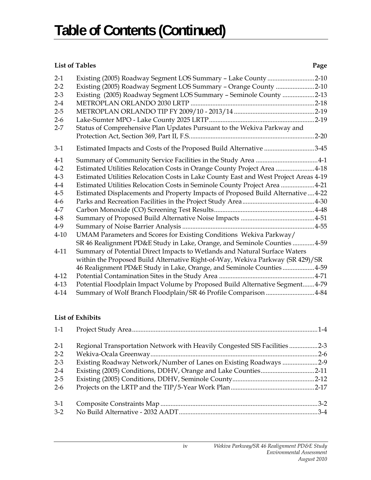## *List of Tables* Page

| $2-1$    | Existing (2005) Roadway Segment LOS Summary - Lake County 2-10                       |  |
|----------|--------------------------------------------------------------------------------------|--|
| $2 - 2$  | Existing (2005) Roadway Segment LOS Summary - Orange County 2-10                     |  |
| $2 - 3$  | Existing (2005) Roadway Segment LOS Summary - Seminole County 2-13                   |  |
| $2 - 4$  |                                                                                      |  |
| $2 - 5$  |                                                                                      |  |
| $2 - 6$  |                                                                                      |  |
| $2 - 7$  | Status of Comprehensive Plan Updates Pursuant to the Wekiva Parkway and              |  |
|          |                                                                                      |  |
| $3-1$    | Estimated Impacts and Costs of the Proposed Build Alternative 3-45                   |  |
| $4-1$    |                                                                                      |  |
| $4 - 2$  | Estimated Utilities Relocation Costs in Orange County Project Area 4-18              |  |
| $4-3$    | Estimated Utilities Relocation Costs in Lake County East and West Project Areas 4-19 |  |
| $4-4$    | Estimated Utilities Relocation Costs in Seminole County Project Area 4-21            |  |
| $4 - 5$  | Estimated Displacements and Property Impacts of Proposed Build Alternative  4-22     |  |
| $4-6$    |                                                                                      |  |
| $4 - 7$  |                                                                                      |  |
| $4 - 8$  |                                                                                      |  |
| 4-9      |                                                                                      |  |
| $4 - 10$ | UMAM Parameters and Scores for Existing Conditions Wekiva Parkway/                   |  |
|          | SR 46 Realignment PD&E Study in Lake, Orange, and Seminole Counties 4-59             |  |
| $4 - 11$ | Summary of Potential Direct Impacts to Wetlands and Natural Surface Waters           |  |
|          | within the Proposed Build Alternative Right-of-Way, Wekiva Parkway (SR 429)/SR       |  |
|          | 46 Realignment PD&E Study in Lake, Orange, and Seminole Counties4-59                 |  |
| $4 - 12$ |                                                                                      |  |
| $4 - 13$ | Potential Floodplain Impact Volume by Proposed Build Alternative Segment 4-79        |  |
| $4 - 14$ | Summary of Wolf Branch Floodplain/SR 46 Profile Comparison 4-84                      |  |

#### **List of Exhibits**

| $1-1$   |                                                                           |  |
|---------|---------------------------------------------------------------------------|--|
| $2-1$   | Regional Transportation Network with Heavily Congested SIS Facilities 2-3 |  |
| $2 - 2$ |                                                                           |  |
| $2 - 3$ | Existing Roadway Network/Number of Lanes on Existing Roadways 2-9         |  |
| $2 - 4$ | Existing (2005) Conditions, DDHV, Orange and Lake Counties2-11            |  |
| $2 - 5$ |                                                                           |  |
| $2 - 6$ |                                                                           |  |
| $3-1$   |                                                                           |  |
| $3-2$   |                                                                           |  |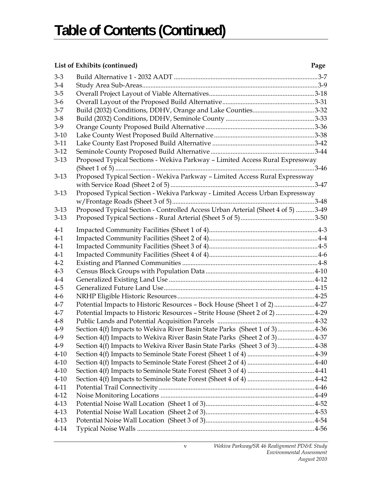#### **List of Exhibits (continued) Page**

| $3 - 3$          |                                                                                 |  |
|------------------|---------------------------------------------------------------------------------|--|
| $3-4$<br>$3 - 5$ |                                                                                 |  |
|                  |                                                                                 |  |
| $3-6$            |                                                                                 |  |
| $3 - 7$          | Build (2032) Conditions, DDHV, Orange and Lake Counties3-32                     |  |
| $3 - 8$          |                                                                                 |  |
| $3-9$            |                                                                                 |  |
| $3-10$           |                                                                                 |  |
| $3-11$           |                                                                                 |  |
| $3-12$           |                                                                                 |  |
| $3-13$           | Proposed Typical Sections - Wekiva Parkway - Limited Access Rural Expressway    |  |
|                  |                                                                                 |  |
| $3-13$           | Proposed Typical Section - Wekiva Parkway - Limited Access Rural Expressway     |  |
|                  |                                                                                 |  |
| $3-13$           | Proposed Typical Section - Wekiva Parkway - Limited Access Urban Expressway     |  |
|                  |                                                                                 |  |
| $3-13$           | Proposed Typical Section - Controlled Access Urban Arterial (Sheet 4 of 5) 3-49 |  |
| $3-13$           |                                                                                 |  |
| $4-1$            |                                                                                 |  |
| $4-1$            |                                                                                 |  |
| $4-1$            |                                                                                 |  |
| $4-1$            |                                                                                 |  |
| $4 - 2$          |                                                                                 |  |
| $4 - 3$          |                                                                                 |  |
| $4-4$            |                                                                                 |  |
| $4 - 5$          |                                                                                 |  |
| $4-6$            |                                                                                 |  |
| $4 - 7$          | Potential Impacts to Historic Resources - Bock House (Sheet 1 of 2) 4-27        |  |
| $4 - 7$          | Potential Impacts to Historic Resources - Strite House (Sheet 2 of 2)  4-29     |  |
| $4 - 8$          |                                                                                 |  |
| $4-9$            | Section 4(f) Impacts to Wekiva River Basin State Parks (Sheet 1 of 3)4-36       |  |
| $4-9$            | Section 4(f) Impacts to Wekiva River Basin State Parks (Sheet 2 of 3)4-37       |  |
| $4-9$            | Section 4(f) Impacts to Wekiva River Basin State Parks (Sheet 3 of 3)4-38       |  |
| $4 - 10$         |                                                                                 |  |
| $4 - 10$         |                                                                                 |  |
| $4 - 10$         |                                                                                 |  |
| $4 - 10$         |                                                                                 |  |
| $4 - 11$         |                                                                                 |  |
| $4 - 12$         |                                                                                 |  |
| $4 - 13$         |                                                                                 |  |
| $4-13$           |                                                                                 |  |
| $4 - 13$         |                                                                                 |  |
| $4 - 14$         |                                                                                 |  |
|                  |                                                                                 |  |